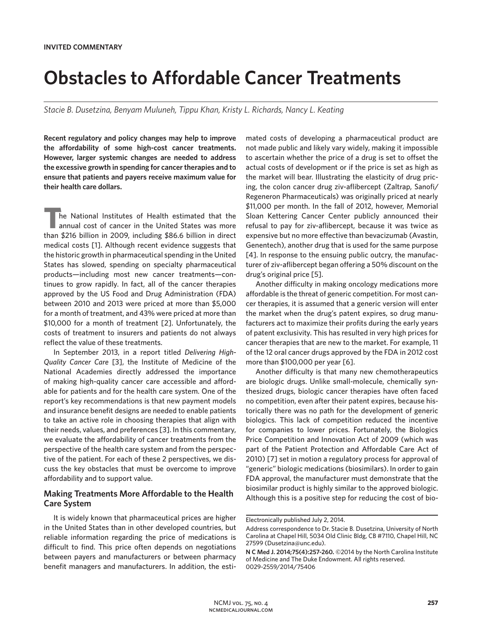# **Obstacles to Affordable Cancer Treatments**

*Stacie B. Dusetzina, Benyam Muluneh, Tippu Khan, Kristy L. Richards, Nancy L. Keating*

**Recent regulatory and policy changes may help to improve the affordability of some high-cost cancer treatments. However, larger systemic changes are needed to address the excessive growth in spending for cancer therapies and to ensure that patients and payers receive maximum value for their health care dollars.**

**The National Institutes of Health estimated that the annual cost of cancer in the United States was more** than \$216 billion in 2009, including \$86.6 billion in direct medical costs [1]. Although recent evidence suggests that the historic growth in pharmaceutical spending in the United States has slowed, spending on specialty pharmaceutical products—including most new cancer treatments—continues to grow rapidly. In fact, all of the cancer therapies approved by the US Food and Drug Administration (FDA) between 2010 and 2013 were priced at more than \$5,000 for a month of treatment, and 43% were priced at more than \$10,000 for a month of treatment [2]. Unfortunately, the costs of treatment to insurers and patients do not always reflect the value of these treatments.

In September 2013, in a report titled *Delivering High-Quality Cancer Care* [3], the Institute of Medicine of the National Academies directly addressed the importance of making high-quality cancer care accessible and affordable for patients and for the health care system. One of the report's key recommendations is that new payment models and insurance benefit designs are needed to enable patients to take an active role in choosing therapies that align with their needs, values, and preferences [3]. In this commentary, we evaluate the affordability of cancer treatments from the perspective of the health care system and from the perspective of the patient. For each of these 2 perspectives, we discuss the key obstacles that must be overcome to improve affordability and to support value.

## **Making Treatments More Affordable to the Health Care System**

It is widely known that pharmaceutical prices are higher in the United States than in other developed countries, but reliable information regarding the price of medications is difficult to find. This price often depends on negotiations between payers and manufacturers or between pharmacy benefit managers and manufacturers. In addition, the estimated costs of developing a pharmaceutical product are not made public and likely vary widely, making it impossible to ascertain whether the price of a drug is set to offset the actual costs of development or if the price is set as high as the market will bear. Illustrating the elasticity of drug pricing, the colon cancer drug ziv-aflibercept (Zaltrap, Sanofi/ Regeneron Pharmaceuticals) was originally priced at nearly \$11,000 per month. In the fall of 2012, however, Memorial Sloan Kettering Cancer Center publicly announced their refusal to pay for ziv-aflibercept, because it was twice as expensive but no more effective than bevacizumab (Avastin, Genentech), another drug that is used for the same purpose [4]. In response to the ensuing public outcry, the manufacturer of ziv-aflibercept began offering a 50% discount on the drug's original price [5].

Another difficulty in making oncology medications more affordable is the threat of generic competition. For most cancer therapies, it is assumed that a generic version will enter the market when the drug's patent expires, so drug manufacturers act to maximize their profits during the early years of patent exclusivity. This has resulted in very high prices for cancer therapies that are new to the market. For example, 11 of the 12 oral cancer drugs approved by the FDA in 2012 cost more than \$100,000 per year [6].

Another difficulty is that many new chemotherapeutics are biologic drugs. Unlike small-molecule, chemically synthesized drugs, biologic cancer therapies have often faced no competition, even after their patent expires, because historically there was no path for the development of generic biologics. This lack of competition reduced the incentive for companies to lower prices. Fortunately, the Biologics Price Competition and Innovation Act of 2009 (which was part of the Patient Protection and Affordable Care Act of 2010) [7] set in motion a regulatory process for approval of "generic" biologic medications (biosimilars). In order to gain FDA approval, the manufacturer must demonstrate that the biosimilar product is highly similar to the approved biologic. Although this is a positive step for reducing the cost of bio-

Electronically published July 2, 2014.

Address correspondence to Dr. Stacie B. Dusetzina, University of North Carolina at Chapel Hill, 5034 Old Clinic Bldg, CB #7110, Chapel Hill, NC 27599 (Dusetzina@unc.edu).

**N C Med J. 2014;75(4):257-260.** ©2014 by the North Carolina Institute of Medicine and The Duke Endowment. All rights reserved. 0029-2559/2014/75406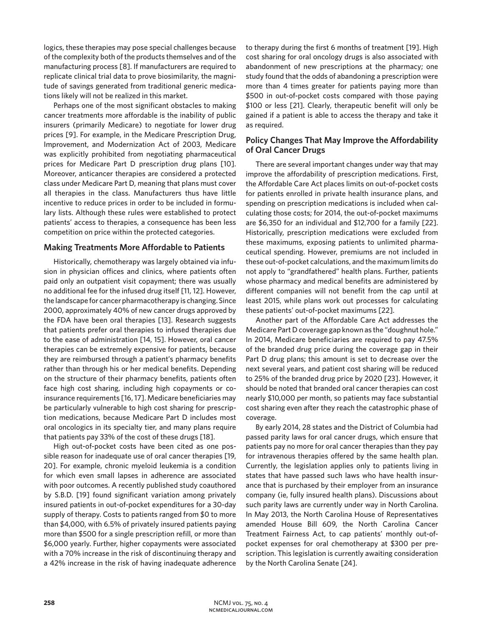logics, these therapies may pose special challenges because of the complexity both of the products themselves and of the manufacturing process [8]. If manufacturers are required to replicate clinical trial data to prove biosimilarity, the magnitude of savings generated from traditional generic medications likely will not be realized in this market.

Perhaps one of the most significant obstacles to making cancer treatments more affordable is the inability of public insurers (primarily Medicare) to negotiate for lower drug prices [9]. For example, in the Medicare Prescription Drug, Improvement, and Modernization Act of 2003, Medicare was explicitly prohibited from negotiating pharmaceutical prices for Medicare Part D prescription drug plans [10]. Moreover, anticancer therapies are considered a protected class under Medicare Part D, meaning that plans must cover all therapies in the class. Manufacturers thus have little incentive to reduce prices in order to be included in formulary lists. Although these rules were established to protect patients' access to therapies, a consequence has been less competition on price within the protected categories.

#### **Making Treatments More Affordable to Patients**

Historically, chemotherapy was largely obtained via infusion in physician offices and clinics, where patients often paid only an outpatient visit copayment; there was usually no additional fee for the infused drug itself [11, 12]. However, the landscape for cancer pharmacotherapy is changing. Since 2000, approximately 40% of new cancer drugs approved by the FDA have been oral therapies [13]. Research suggests that patients prefer oral therapies to infused therapies due to the ease of administration [14, 15]. However, oral cancer therapies can be extremely expensive for patients, because they are reimbursed through a patient's pharmacy benefits rather than through his or her medical benefits. Depending on the structure of their pharmacy benefits, patients often face high cost sharing, including high copayments or coinsurance requirements [16, 17]. Medicare beneficiaries may be particularly vulnerable to high cost sharing for prescription medications, because Medicare Part D includes most oral oncologics in its specialty tier, and many plans require that patients pay 33% of the cost of these drugs [18].

High out-of-pocket costs have been cited as one possible reason for inadequate use of oral cancer therapies [19, 20]. For example, chronic myeloid leukemia is a condition for which even small lapses in adherence are associated with poor outcomes. A recently published study coauthored by S.B.D. [19] found significant variation among privately insured patients in out-of-pocket expenditures for a 30-day supply of therapy. Costs to patients ranged from \$0 to more than \$4,000, with 6.5% of privately insured patients paying more than \$500 for a single prescription refill, or more than \$6,000 yearly. Further, higher copayments were associated with a 70% increase in the risk of discontinuing therapy and a 42% increase in the risk of having inadequate adherence to therapy during the first 6 months of treatment [19]. High cost sharing for oral oncology drugs is also associated with abandonment of new prescriptions at the pharmacy; one study found that the odds of abandoning a prescription were more than 4 times greater for patients paying more than \$500 in out-of-pocket costs compared with those paying \$100 or less [21]. Clearly, therapeutic benefit will only be gained if a patient is able to access the therapy and take it as required.

## **Policy Changes That May Improve the Affordability of Oral Cancer Drugs**

There are several important changes under way that may improve the affordability of prescription medications. First, the Affordable Care Act places limits on out-of-pocket costs for patients enrolled in private health insurance plans, and spending on prescription medications is included when calculating those costs; for 2014, the out-of-pocket maximums are \$6,350 for an individual and \$12,700 for a family [22]. Historically, prescription medications were excluded from these maximums, exposing patients to unlimited pharmaceutical spending. However, premiums are not included in these out-of-pocket calculations, and the maximum limits do not apply to "grandfathered" health plans. Further, patients whose pharmacy and medical benefits are administered by different companies will not benefit from the cap until at least 2015, while plans work out processes for calculating these patients' out-of-pocket maximums [22].

Another part of the Affordable Care Act addresses the Medicare Part D coverage gap known as the "doughnut hole." In 2014, Medicare beneficiaries are required to pay 47.5% of the branded drug price during the coverage gap in their Part D drug plans; this amount is set to decrease over the next several years, and patient cost sharing will be reduced to 25% of the branded drug price by 2020 [23]. However, it should be noted that branded oral cancer therapies can cost nearly \$10,000 per month, so patients may face substantial cost sharing even after they reach the catastrophic phase of coverage.

By early 2014, 28 states and the District of Columbia had passed parity laws for oral cancer drugs, which ensure that patients pay no more for oral cancer therapies than they pay for intravenous therapies offered by the same health plan. Currently, the legislation applies only to patients living in states that have passed such laws who have health insurance that is purchased by their employer from an insurance company (ie, fully insured health plans). Discussions about such parity laws are currently under way in North Carolina. In May 2013, the North Carolina House of Representatives amended House Bill 609, the North Carolina Cancer Treatment Fairness Act, to cap patients' monthly out-ofpocket expenses for oral chemotherapy at \$300 per prescription. This legislation is currently awaiting consideration by the North Carolina Senate [24].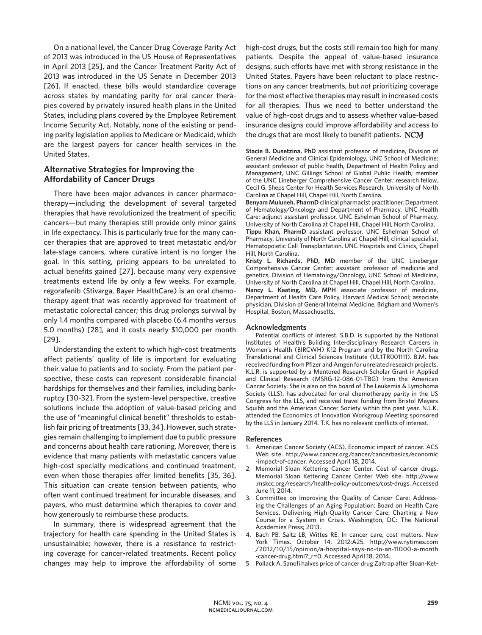On a national level, the Cancer Drug Coverage Parity Act of 2013 was introduced in the US House of Representatives in April 2013 [25], and the Cancer Treatment Parity Act of 2013 was introduced in the US Senate in December 2013 [26]. If enacted, these bills would standardize coverage across states by mandating parity for oral cancer therapies covered by privately insured health plans in the United States, including plans covered by the Employee Retirement Income Security Act. Notably, none of the existing or pending parity legislation applies to Medicare or Medicaid, which are the largest payers for cancer health services in the United States.

### **Alternative Strategies for Improving the Affordability of Cancer Drugs**

There have been major advances in cancer pharmacotherapy—including the development of several targeted therapies that have revolutionized the treatment of specific cancers—but many therapies still provide only minor gains in life expectancy. This is particularly true for the many cancer therapies that are approved to treat metastatic and/or late-stage cancers, where curative intent is no longer the goal. In this setting, pricing appears to be unrelated to actual benefits gained [27], because many very expensive treatments extend life by only a few weeks. For example, regorafenib (Stivarga, Bayer HealthCare) is an oral chemotherapy agent that was recently approved for treatment of metastatic colorectal cancer; this drug prolongs survival by only 1.4 months compared with placebo (6.4 months versus 5.0 months) [28], and it costs nearly \$10,000 per month [29].

Understanding the extent to which high-cost treatments affect patients' quality of life is important for evaluating their value to patients and to society. From the patient perspective, these costs can represent considerable financial hardships for themselves and their families, including bankruptcy [30-32]. From the system-level perspective, creative solutions include the adoption of value-based pricing and the use of "meaningful clinical benefit" thresholds to establish fair pricing of treatments [33, 34]. However, such strategies remain challenging to implement due to public pressure and concerns about health care rationing. Moreover, there is evidence that many patients with metastatic cancers value high-cost specialty medications and continued treatment, even when those therapies offer limited benefits [35, 36]. This situation can create tension between patients, who often want continued treatment for incurable diseases, and payers, who must determine which therapies to cover and how generously to reimburse these products.

In summary, there is widespread agreement that the trajectory for health care spending in the United States is unsustainable; however, there is a resistance to restricting coverage for cancer-related treatments. Recent policy changes may help to improve the affordability of some high-cost drugs, but the costs still remain too high for many patients. Despite the appeal of value-based insurance designs, such efforts have met with strong resistance in the United States. Payers have been reluctant to place restrictions on any cancer treatments, but *not* prioritizing coverage for the most effective therapies may result in increased costs for all therapies. Thus we need to better understand the value of high-cost drugs and to assess whether value-based insurance designs could improve affordability and access to the drugs that are most likely to benefit patients. NCM

**Stacie B. Dusetzina, PhD** assistant professor of medicine, Division of General Medicine and Clinical Epidemiology, UNC School of Medicine; assistant professor of public health, Department of Health Policy and Management, UNC Gillings School of Global Public Health; member of the UNC Lineberger Comprehensive Cancer Center; research fellow, Cecil G. Sheps Center for Health Services Research, University of North Carolina at Chapel Hill, Chapel Hill, North Carolina.

**Benyam Muluneh, PharmD** clinical pharmacist practitioner, Department of Hematology/Oncology and Department of Pharmacy, UNC Health Care; adjunct assistant professor, UNC Eshelman School of Pharmacy, University of North Carolina at Chapel Hill, Chapel Hill, North Carolina. **Tippu Khan, PharmD** assistant professor, UNC Eshelman School of Pharmacy, University of North Carolina at Chapel Hill; clinical specialist, Hematopoietic Cell Transplantation, UNC Hospitals and Clinics, Chapel Hill, North Carolina.

**Kristy L. Richards, PhD, MD** member of the UNC Lineberger Comprehensive Cancer Center; assistant professor of medicine and genetics, Division of Hematology/Oncology, UNC School of Medicine, University of North Carolina at Chapel Hill, Chapel Hill, North Carolina. **Nancy L. Keating, MD, MPH** associate professor of medicine, Department of Health Care Policy, Harvard Medical School; associate physician, Division of General Internal Medicine, Brigham and Women's Hospital, Boston, Massachusetts.

#### **Acknowledgments**

Potential conflicts of interest. S.B.D. is supported by the National Institutes of Health's Building Interdisciplinary Research Careers in Women's Health (BIRCWH) K12 Program and by the North Carolina Translational and Clinical Sciences Institute (UL1TR001111). B.M. has received funding from Pfizer and Amgen for unrelated research projects. K.L.R. is supported by a Mentored Research Scholar Grant in Applied and Clinical Research (MSRG-12-086-01-TBG) from the American Cancer Society. She is also on the board of The Leukemia & Lymphoma Society (LLS), has advocated for oral chemotherapy parity in the US Congress for the LLS, and received travel funding from Bristol Meyers Squibb and the American Cancer Society within the past year. N.L.K. attended the Economics of Innovation Workgroup Meeting sponsored by the LLS in January 2014. T.K. has no relevant conflicts of interest.

#### **References**

- 1. American Cancer Society (ACS). Economic impact of cancer. ACS Web site. http://www.cancer.org/cancer/cancerbasics/economic -impact-of-cancer. Accessed April 18, 2014.
- 2. Memorial Sloan Kettering Cancer Center. Cost of cancer drugs. Memorial Sloan Kettering Cancer Center Web site. http://www .mskcc.org/research/health-policy-outcomes/cost-drugs. Accessed June 11, 2014.
- 3. Committee on Improving the Quality of Cancer Care: Addressing the Challenges of an Aging Population; Board on Health Care Services. Delivering High-Quality Cancer Care: Charting a New Course for a System in Crisis. Washington, DC: The National Academies Press; 2013.
- 4. Bach PB, Saltz LB, Wittes RE. In cancer care, cost matters. New York Times. October 14, 2012:A25. http://www.nytimes.com /2012/10/15/opinion/a-hospital-says-no-to-an-11000-a-month -cancer-drug.html?\_r=0. Accessed April 18, 2014.
- 5. Pollack A. Sanofi halves price of cancer drug Zaltrap after Sloan-Ket-